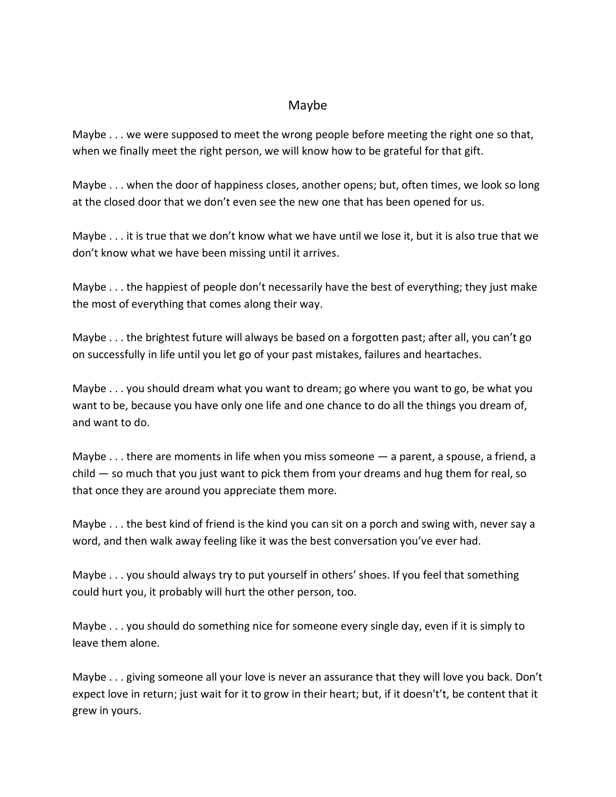## Maybe

Maybe . . . we were supposed to meet the wrong people before meeting the right one so that, when we finally meet the right person, we will know how to be grateful for that gift.

Maybe . . . when the door of happiness closes, another opens; but, often times, we look so long at the closed door that we don't even see the new one that has been opened for us.

Maybe . . . it is true that we don't know what we have until we lose it, but it is also true that we don't know what we have been missing until it arrives.

Maybe . . . the happiest of people don't necessarily have the best of everything; they just make the most of everything that comes along their way.

Maybe . . . the brightest future will always be based on a forgotten past; after all, you can't go on successfully in life until you let go of your past mistakes, failures and heartaches.

Maybe . . . you should dream what you want to dream; go where you want to go, be what you want to be, because you have only one life and one chance to do all the things you dream of, and want to do.

Maybe  $\dots$  there are moments in life when you miss someone  $-$  a parent, a spouse, a friend, a child — so much that you just want to pick them from your dreams and hug them for real, so that once they are around you appreciate them more.

Maybe . . . the best kind of friend is the kind you can sit on a porch and swing with, never say a word, and then walk away feeling like it was the best conversation you've ever had.

Maybe . . . you should always try to put yourself in others' shoes. If you feel that something could hurt you, it probably will hurt the other person, too.

Maybe . . . you should do something nice for someone every single day, even if it is simply to leave them alone.

Maybe . . . giving someone all your love is never an assurance that they will love you back. Don't expect love in return; just wait for it to grow in their heart; but, if it doesn't't, be content that it grew in yours.